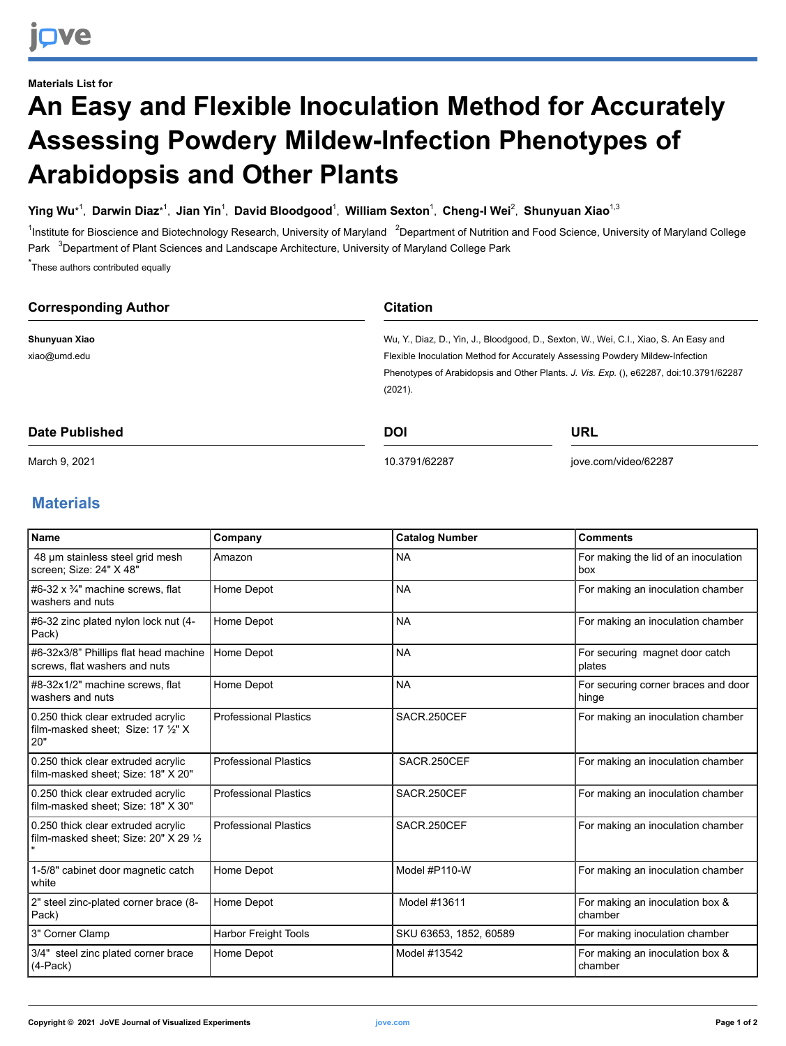## **Materials List for An Easy and Flexible Inoculation Method for Accurately Assessing Powdery Mildew-Infection Phenotypes of Arabidopsis and Other Plants**

## **Ying Wu**\* 1 , **Darwin Diaz**\* 1 , **Jian Yin** 1 , **David Bloodgood**<sup>1</sup> , **William Sexton** 1 , **Cheng-I Wei** 2 , **Shunyuan Xiao**1,3

<sup>1</sup>Institute for Bioscience and Biotechnology Research, University of Maryland <sup>2</sup>Department of Nutrition and Food Science, University of Maryland College Park <sup>3</sup>Department of Plant Sciences and Landscape Architecture, University of Maryland College Park

\* These authors contributed equally

| <b>Corresponding Author</b> | <b>Citation</b>                                                                       |                                                                                                                                                                         |  |
|-----------------------------|---------------------------------------------------------------------------------------|-------------------------------------------------------------------------------------------------------------------------------------------------------------------------|--|
| Shunyuan Xiao               | Wu, Y., Diaz, D., Yin, J., Bloodgood, D., Sexton, W., Wei, C.I., Xiao, S. An Easy and |                                                                                                                                                                         |  |
| xiao@umd.edu                |                                                                                       | Flexible Inoculation Method for Accurately Assessing Powdery Mildew-Infection<br>Phenotypes of Arabidopsis and Other Plants. J. Vis. Exp. (), e62287, doi:10.3791/62287 |  |
|                             |                                                                                       |                                                                                                                                                                         |  |
| (2021).                     |                                                                                       |                                                                                                                                                                         |  |
| Date Published              | <b>DOI</b>                                                                            | URL                                                                                                                                                                     |  |

[10.3791/62287](http://dx.doi.org/10.3791/62287)

[jove.com/video/62287](https://www.jove.com/video/62287)

March 9, 2021

## **Materials**

| <b>Name</b>                                                                     | Company                      | <b>Catalog Number</b>  | <b>Comments</b>                              |
|---------------------------------------------------------------------------------|------------------------------|------------------------|----------------------------------------------|
| 48 µm stainless steel grid mesh<br>screen; Size: 24" X 48"                      | Amazon                       | <b>NA</b>              | For making the lid of an inoculation<br>box  |
| #6-32 x $\frac{3}{4}$ " machine screws, flat<br>washers and nuts                | Home Depot                   | <b>NA</b>              | For making an inoculation chamber            |
| #6-32 zinc plated nylon lock nut (4-<br>Pack)                                   | Home Depot                   | <b>NA</b>              | For making an inoculation chamber            |
| #6-32x3/8" Phillips flat head machine<br>screws, flat washers and nuts          | Home Depot                   | <b>NA</b>              | For securing magnet door catch<br>plates     |
| #8-32x1/2" machine screws, flat<br>washers and nuts                             | Home Depot                   | <b>NA</b>              | For securing corner braces and door<br>hinge |
| 0.250 thick clear extruded acrylic<br>film-masked sheet: Size: 17 1/2" X<br>20" | <b>Professional Plastics</b> | SACR.250CEF            | For making an inoculation chamber            |
| 0.250 thick clear extruded acrylic<br>film-masked sheet; Size: 18" X 20"        | <b>Professional Plastics</b> | SACR.250CEF            | For making an inoculation chamber            |
| 0.250 thick clear extruded acrylic<br>film-masked sheet; Size: 18" X 30"        | <b>Professional Plastics</b> | SACR.250CEF            | For making an inoculation chamber            |
| 0.250 thick clear extruded acrylic<br>film-masked sheet: Size: 20" X 29 1/2     | <b>Professional Plastics</b> | SACR.250CEF            | For making an inoculation chamber            |
| 1-5/8" cabinet door magnetic catch<br>white                                     | Home Depot                   | Model #P110-W          | For making an inoculation chamber            |
| 2" steel zinc-plated corner brace (8-<br>Pack)                                  | Home Depot                   | Model #13611           | For making an inoculation box &<br>chamber   |
| 3" Corner Clamp                                                                 | <b>Harbor Freight Tools</b>  | SKU 63653, 1852, 60589 | For making inoculation chamber               |
| 3/4" steel zinc plated corner brace<br>$(4$ -Pack $)$                           | Home Depot                   | Model #13542           | For making an inoculation box &<br>chamber   |